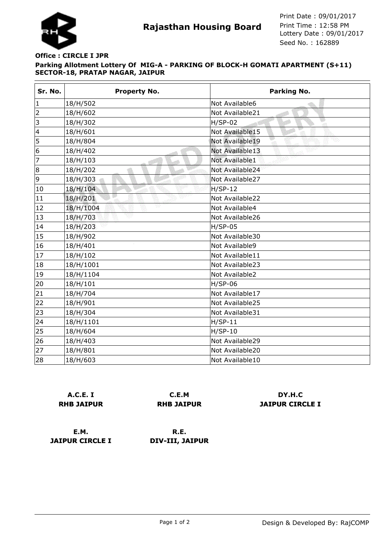

## **Parking Allotment Lottery Of MIG-A - PARKING OF BLOCK-H GOMATI APARTMENT (S+11) SECTOR-18, PRATAP NAGAR, JAIPUR Office : CIRCLE I JPR**

| Sr. No.                  | <b>Property No.</b> | Parking No.     |
|--------------------------|---------------------|-----------------|
| $\mathbf 1$              | 18/H/502            | Not Available6  |
| $\overline{2}$           | 18/H/602            | Not Available21 |
| 3                        | 18/H/302            | $H/SP-02$<br>φŪ |
| $\overline{\mathcal{L}}$ | 18/H/601            | Not Available15 |
| 5                        | 18/H/804            | Not Available19 |
| 6                        | 18/H/402            | Not Available13 |
| 7                        | 18/H/103            | Not Available1  |
| 8                        | 18/H/202            | Not Available24 |
| 9                        | 18/H/303            | Not Available27 |
| 10                       | 18/H/104            | $H/SP-12$       |
| 11                       | 18/H/201            | Not Available22 |
| 12                       | Ŵ<br>18/H/1004      | Not Available4  |
| 13                       | 18/H/703            | Not Available26 |
| 14                       | 18/H/203            | $H/SP-05$       |
| 15                       | 18/H/902            | Not Available30 |
| 16                       | 18/H/401            | Not Available9  |
| 17                       | 18/H/102            | Not Available11 |
| 18                       | 18/H/1001           | Not Available23 |
| 19                       | 18/H/1104           | Not Available2  |
| 20                       | 18/H/101            | $H/SP-06$       |
| 21                       | 18/H/704            | Not Available17 |
| 22                       | 18/H/901            | Not Available25 |
| 23                       | 18/H/304            | Not Available31 |
| 24                       | 18/H/1101           | $H/SP-11$       |
| 25                       | 18/H/604            | $H/SP-10$       |
| 26                       | 18/H/403            | Not Available29 |
| 27                       | 18/H/801            | Not Available20 |
| 28                       | 18/H/603            | Not Available10 |

| A.C.E. I          |
|-------------------|
| <b>RHB JAIPUR</b> |

**C.E.M RHB JAIPUR**

**DY.H.C JAIPUR CIRCLE I**

**E.M. JAIPUR CIRCLE I**

**R.E. DIV-III, JAIPUR**